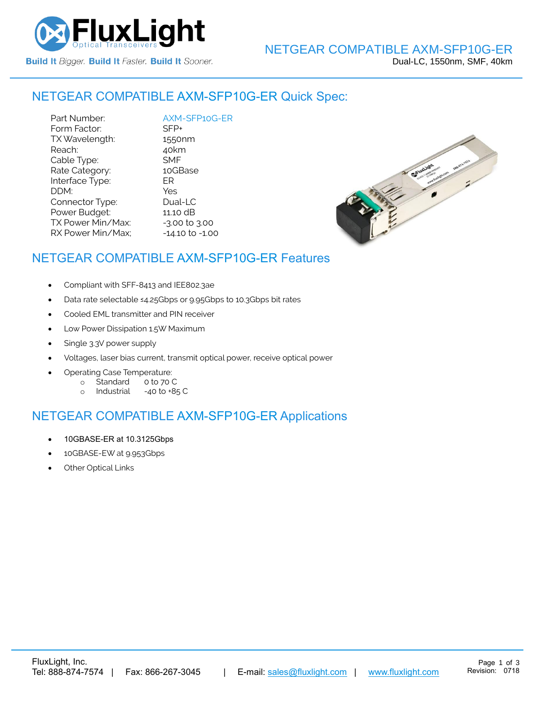

# NETGEAR COMPATIBLE [AXM-SFP10G-ER](https://www.fluxlight.com/) Quick Spec:

Part Number:  $\frac{\text{AXM-SFP10G-ER}}{\text{SFP+}}$  $\frac{\text{AXM-SFP10G-ER}}{\text{SFP+}}$  $\frac{\text{AXM-SFP10G-ER}}{\text{SFP+}}$ Form Factor: TX Wavelength: 1550nm Reach: 40km Cable Type: SMF Rate Category: 10GBase Interface Type: ER DDM: Yes Connector Type: Dual-LC Power Budget: 11.10 dB  $TX$  Power Min/Max:  $-3.00$  to  $3.00$ RX Power Min/Max; - 14.10 to -1.00



#### NETGEAR COMPATIBLE [AXM-SFP10G-ER](https://www.fluxlight.com/) Features

- Compliant with SFF-8413 and IEE802.3ae
- Data rate selectable ≤4.25Gbps or 9.95Gbps to 10.3Gbps bit rates
- Cooled EML transmitter and PIN receiver
- Low Power Dissipation 1.5W Maximum
- Single 3.3V power supply
- Voltages, laser bias current, transmit optical power, receive optical power
- Operating Case Temperature:
	- o Standard 0 to 70 C
	- o Industrial -40 to +85 C

#### NETGEAR COMPATIBLE [AXM-SFP10G-ER](https://www.fluxlight.com/) Applications

- 10GBASE-ER at 10.3125Gbps
- 10GBASE-EW at 9.953Gbps
- **Other Optical Links**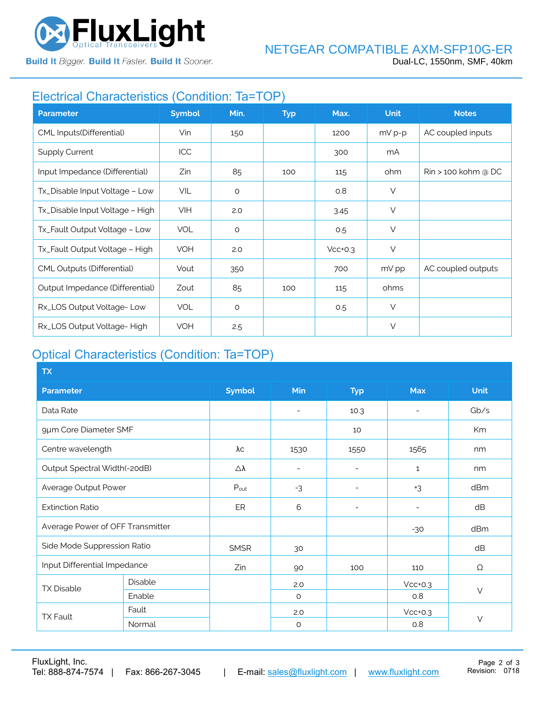

**Build It Bigger. Build It Faster. Build It Sooner.** 

### Electrical Characteristics (Condition: Ta=TOP)

| <b>Parameter</b>                  | <b>Symbol</b> | Min.    | <b>Typ</b> | Max.      | <b>Unit</b> | <b>Notes</b>                  |
|-----------------------------------|---------------|---------|------------|-----------|-------------|-------------------------------|
| CML Inputs(Differential)          | Vin           | 150     |            | 1200      | $mV p-p$    | AC coupled inputs             |
| <b>Supply Current</b>             | ICC           |         |            | 300       | mA          |                               |
| Input Impedance (Differential)    | Zin           | 85      | 100        | 115       | ohm         | $\text{R}$ in > 100 kohm @ DC |
| Tx_Disable Input Voltage - Low    | VIL           | $\circ$ |            | 0.8       | $\vee$      |                               |
| Tx_Disable Input Voltage - High   | <b>VIH</b>    | 2.0     |            | 3.45      | $\vee$      |                               |
| Tx_Fault Output Voltage - Low     | <b>VOL</b>    | $\circ$ |            | 0.5       | $\vee$      |                               |
| Tx_Fault Output Voltage - High    | VOH           | 2.0     |            | $Vcc+0.3$ | $\vee$      |                               |
| <b>CML Outputs (Differential)</b> | Vout          | 350     |            | 700       | mV pp       | AC coupled outputs            |
| Output Impedance (Differential)   | Zout          | 85      | 100        | 115       | ohms        |                               |
| Rx_LOS Output Voltage-Low         | <b>VOL</b>    | $\circ$ |            | 0.5       | $\vee$      |                               |
| Rx_LOS Output Voltage-High        | <b>VOH</b>    | 2.5     |            |           | $\vee$      |                               |

# Optical Characteristics (Condition: Ta=TOP)

| <b>TX</b>                        |         |               |                          |                          |              |             |  |
|----------------------------------|---------|---------------|--------------------------|--------------------------|--------------|-------------|--|
| <b>Parameter</b>                 |         | <b>Symbol</b> | Min                      | <b>Typ</b>               | <b>Max</b>   | <b>Unit</b> |  |
| Data Rate                        |         |               | $\overline{\phantom{a}}$ | 10.3                     |              | Gb/s        |  |
| 9µm Core Diameter SMF            |         |               |                          | 10                       |              | Km          |  |
| Centre wavelength                |         | λс            | 1530                     | 1550                     | 1565         | nm          |  |
| Output Spectral Width(-20dB)     |         | Δλ            | $\overline{\phantom{a}}$ | ۰                        | $\mathbf{1}$ | nm          |  |
| Average Output Power             |         | Pout          | $-3$                     | $\overline{\phantom{a}}$ | $+3$         | dBm         |  |
| <b>Extinction Ratio</b>          |         | ER            | 6                        | $\overline{a}$           |              | dB          |  |
| Average Power of OFF Transmitter |         |               |                          |                          | $-30$        | dBm         |  |
| Side Mode Suppression Ratio      |         | <b>SMSR</b>   | 30                       |                          |              | dB          |  |
| Input Differential Impedance     |         | Zin           | 90                       | 100                      | 110          | Ω           |  |
| <b>TX Disable</b>                | Disable |               | 2.0                      |                          | $Vcc+0.3$    | $\vee$      |  |
|                                  | Enable  |               | $\circ$                  |                          | 0.8          |             |  |
| <b>TX Fault</b>                  | Fault   |               | 2.0                      |                          | $Vcc+0.3$    |             |  |
|                                  | Normal  |               | $\circ$                  |                          | 0.8          | $\vee$      |  |